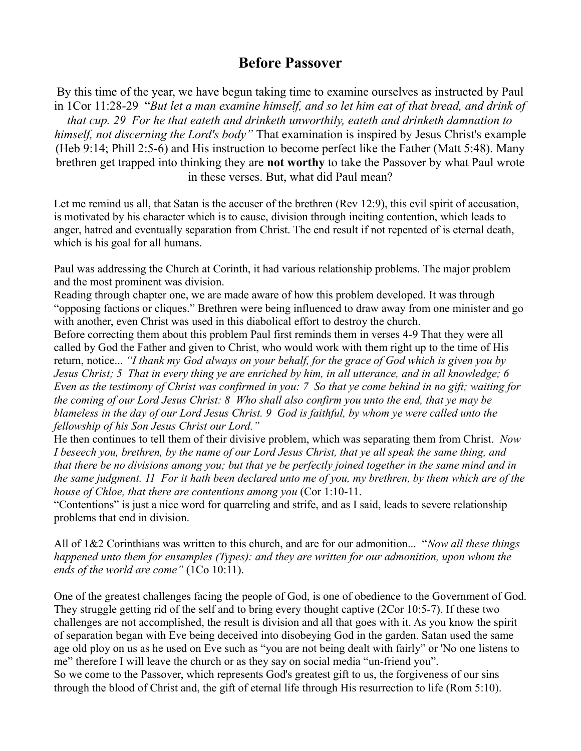## **Before Passover**

By this time of the year, we have begun taking time to examine ourselves as instructed by Paul in 1Cor 11:28-29 "*But let a man examine himself, and so let him eat of that bread, and drink of*

*that cup. 29 For he that eateth and drinketh unworthily, eateth and drinketh damnation to himself, not discerning the Lord's body"* That examination is inspired by Jesus Christ's example (Heb 9:14; Phill 2:5-6) and His instruction to become perfect like the Father (Matt 5:48). Many brethren get trapped into thinking they are **not worthy** to take the Passover by what Paul wrote in these verses. But, what did Paul mean?

Let me remind us all, that Satan is the accuser of the brethren (Rev 12:9), this evil spirit of accusation, is motivated by his character which is to cause, division through inciting contention, which leads to anger, hatred and eventually separation from Christ. The end result if not repented of is eternal death, which is his goal for all humans.

Paul was addressing the Church at Corinth, it had various relationship problems. The major problem and the most prominent was division.

Reading through chapter one, we are made aware of how this problem developed. It was through "opposing factions or cliques." Brethren were being influenced to draw away from one minister and go with another, even Christ was used in this diabolical effort to destroy the church.

Before correcting them about this problem Paul first reminds them in verses 4-9 That they were all called by God the Father and given to Christ, who would work with them right up to the time of His return, notice... *"I thank my God always on your behalf, for the grace of God which is given you by Jesus Christ; 5 That in every thing ye are enriched by him, in all utterance, and in all knowledge; 6 Even as the testimony of Christ was confirmed in you: 7 So that ye come behind in no gift; waiting for the coming of our Lord Jesus Christ: 8 Who shall also confirm you unto the end, that ye may be blameless in the day of our Lord Jesus Christ. 9 God is faithful, by whom ye were called unto the fellowship of his Son Jesus Christ our Lord."*

He then continues to tell them of their divisive problem, which was separating them from Christ. *Now I beseech you, brethren, by the name of our Lord Jesus Christ, that ye all speak the same thing, and that there be no divisions among you; but that ye be perfectly joined together in the same mind and in the same judgment. 11 For it hath been declared unto me of you, my brethren, by them which are of the house of Chloe, that there are contentions among you* (Cor 1:10-11.

"Contentions" is just a nice word for quarreling and strife, and as I said, leads to severe relationship problems that end in division.

All of 1&2 Corinthians was written to this church, and are for our admonition... "*Now all these things happened unto them for ensamples (Types): and they are written for our admonition, upon whom the ends of the world are come"* (1Co 10:11).

One of the greatest challenges facing the people of God, is one of obedience to the Government of God. They struggle getting rid of the self and to bring every thought captive (2Cor 10:5-7). If these two challenges are not accomplished, the result is division and all that goes with it. As you know the spirit of separation began with Eve being deceived into disobeying God in the garden. Satan used the same age old ploy on us as he used on Eve such as "you are not being dealt with fairly" or 'No one listens to me" therefore I will leave the church or as they say on social media "un-friend you". So we come to the Passover, which represents God's greatest gift to us, the forgiveness of our sins through the blood of Christ and, the gift of eternal life through His resurrection to life (Rom 5:10).